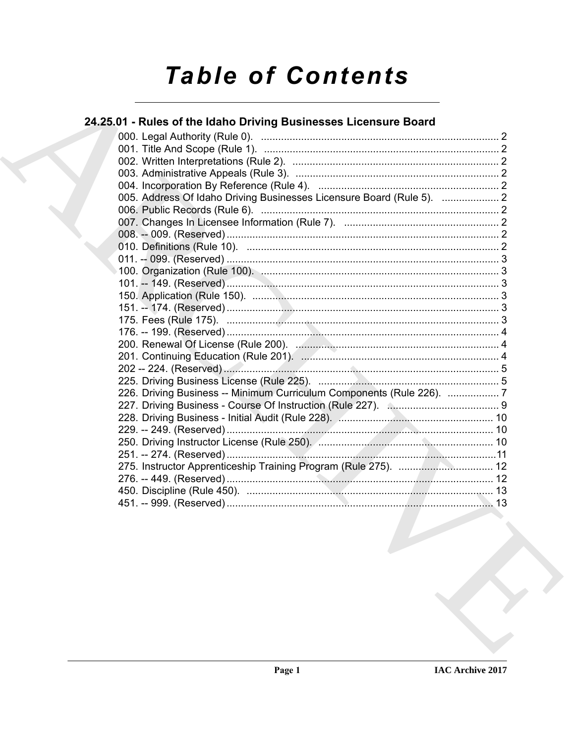# **Table of Contents**

# 24.25.01 - Rules of the Idaho Driving Businesses Licensure Board

| 005. Address Of Idaho Driving Businesses Licensure Board (Rule 5).  2 |  |
|-----------------------------------------------------------------------|--|
|                                                                       |  |
|                                                                       |  |
|                                                                       |  |
|                                                                       |  |
|                                                                       |  |
|                                                                       |  |
|                                                                       |  |
|                                                                       |  |
|                                                                       |  |
|                                                                       |  |
|                                                                       |  |
|                                                                       |  |
|                                                                       |  |
|                                                                       |  |
|                                                                       |  |
| 226. Driving Business -- Minimum Curriculum Components (Rule 226).  7 |  |
|                                                                       |  |
|                                                                       |  |
|                                                                       |  |
|                                                                       |  |
|                                                                       |  |
|                                                                       |  |
|                                                                       |  |
|                                                                       |  |
|                                                                       |  |
|                                                                       |  |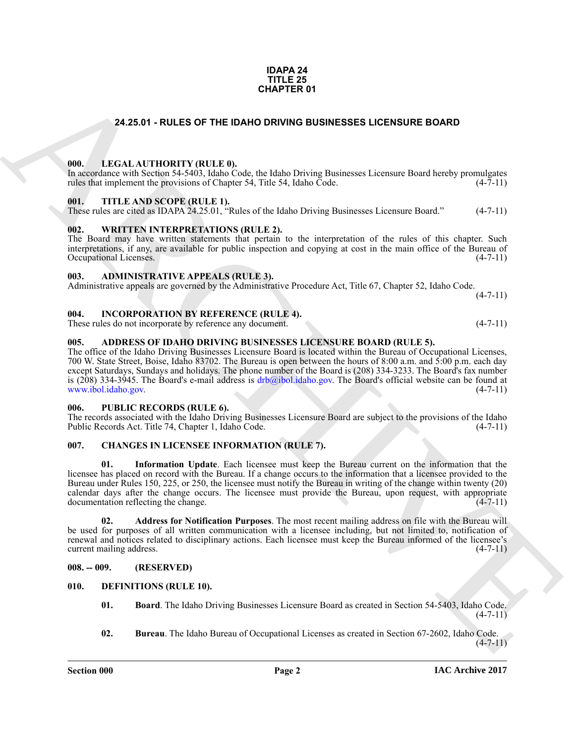#### **IDAPA 24 TITLE 25 CHAPTER 01**

### **24.25.01 - RULES OF THE IDAHO DRIVING BUSINESSES LICENSURE BOARD**

#### <span id="page-1-1"></span><span id="page-1-0"></span>**000. LEGAL AUTHORITY (RULE 0).**

In accordance with Section 54-5403, Idaho Code, the Idaho Driving Businesses Licensure Board hereby promulgates rules that implement the provisions of Chapter 54, Title 54, Idaho Code. (4-7-11)

#### <span id="page-1-2"></span>**001. TITLE AND SCOPE (RULE 1).**

These rules are cited as IDAPA 24.25.01, "Rules of the Idaho Driving Businesses Licensure Board." (4-7-11)

#### <span id="page-1-3"></span>**002. WRITTEN INTERPRETATIONS (RULE 2).**

The Board may have written statements that pertain to the interpretation of the rules of this chapter. Such interpretations, if any, are available for public inspection and copying at cost in the main office of the Bureau of Occupational Licenses.

#### <span id="page-1-4"></span>**003. ADMINISTRATIVE APPEALS (RULE 3).**

Administrative appeals are governed by the Administrative Procedure Act, Title 67, Chapter 52, Idaho Code.  $(4 - 7 - 11)$ 

<span id="page-1-5"></span>**004. INCORPORATION BY REFERENCE (RULE 4).**

These rules do not incorporate by reference any document. (4-7-11)

#### <span id="page-1-6"></span>**005. ADDRESS OF IDAHO DRIVING BUSINESSES LICENSURE BOARD (RULE 5).**

The office of the Idaho Driving Businesses Licensure Board is located within the Bureau of Occupational Licenses, 700 W. State Street, Boise, Idaho 83702. The Bureau is open between the hours of 8:00 a.m. and 5:00 p.m. each day except Saturdays, Sundays and holidays. The phone number of the Board is (208) 334-3233. The Board's fax number is (208) 334-3945. The Board's e-mail address is  $drb@ibol.idaho.gov$ . The Board's official website can be found at www.ibol.idaho.gov. (4-7-11)

#### <span id="page-1-7"></span>**006. PUBLIC RECORDS (RULE 6).**

The records associated with the Idaho Driving Businesses Licensure Board are subject to the provisions of the Idaho Public Records Act. Title 74, Chapter 1, Idaho Code. (4-7-11) Public Records Act. Title 74, Chapter 1, Idaho Code.

#### <span id="page-1-13"></span><span id="page-1-11"></span><span id="page-1-8"></span>**007. CHANGES IN LICENSEE INFORMATION (RULE 7).**

**[CH](drb@ibol.idaho.gov)APTER 01**<br>
24.28.01 - RULES OF THE BAHO DRIVING BUSINESSES LICENSURE BOARD<br>
1980. In Eq. 14.1 (14.1) 1991. THE ANS SCOPE RELEAT. FL. 2.<br>
1991. THE ANS SCOPE RELEAT. II. (14.2) 1992. A LIE SA LIBRO LIGE BUSINESSES LICEN **01. Information Update**. Each licensee must keep the Bureau current on the information that the licensee has placed on record with the Bureau. If a change occurs to the information that a licensee provided to the Bureau under Rules 150, 225, or 250, the licensee must notify the Bureau in writing of the change within twenty (20) calendar days after the change occurs. The licensee must provide the Bureau, upon request, with appropriate documentation reflecting the change. (4-7-11)

<span id="page-1-12"></span>**02. Address for Notification Purposes**. The most recent mailing address on file with the Bureau will be used for purposes of all written communication with a licensee including, but not limited to, notification of renewal and notices related to disciplinary actions. Each licensee must keep the Bureau informed of the licensee's current mailing address. (4-7-11)

#### <span id="page-1-9"></span>**008. -- 009. (RESERVED)**

#### <span id="page-1-10"></span>**010. DEFINITIONS (RULE 10).**

- <span id="page-1-15"></span><span id="page-1-14"></span>**01. Board**. The Idaho Driving Businesses Licensure Board as created in Section 54-5403, Idaho Code.  $(4 - 7 - 11)$
- <span id="page-1-16"></span>**02. Bureau**. The Idaho Bureau of Occupational Licenses as created in Section 67-2602, Idaho Code.  $(4 - 7 - 11)$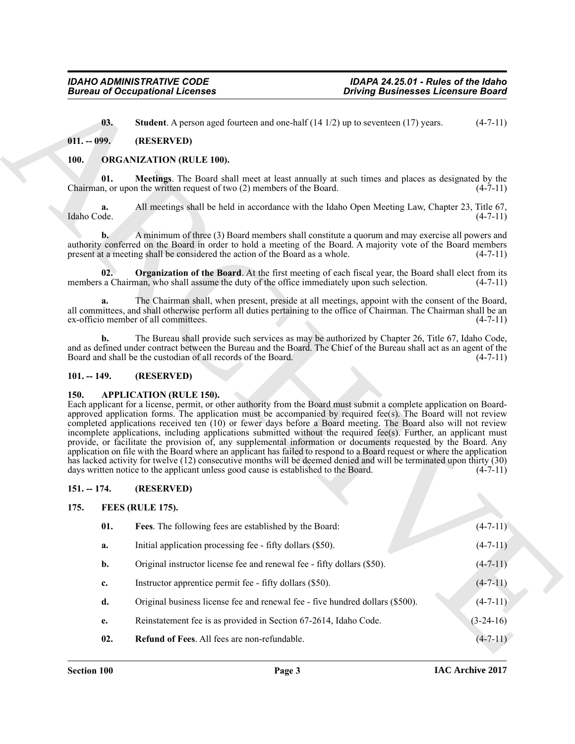#### <span id="page-2-7"></span><span id="page-2-0"></span>**011. -- 099. (RESERVED)**

#### <span id="page-2-12"></span><span id="page-2-11"></span><span id="page-2-10"></span><span id="page-2-1"></span>**100. ORGANIZATION (RULE 100).**

#### <span id="page-2-2"></span>**101. -- 149. (RESERVED)**

#### <span id="page-2-6"></span><span id="page-2-3"></span>**150. APPLICATION (RULE 150).**

### <span id="page-2-4"></span>**151. -- 174. (RESERVED)**

#### <span id="page-2-9"></span><span id="page-2-8"></span><span id="page-2-5"></span>**175. FEES (RULE 175).**

|                   | <b>Bureau of Occupational Licenses</b>                                                                                                                                                                                                                                                                                                                                                                                                                                                                                                                                                                                                                                                                                                                                                                                                                                                                                                                                    | <b>Driving Businesses Licensure Board</b> |
|-------------------|---------------------------------------------------------------------------------------------------------------------------------------------------------------------------------------------------------------------------------------------------------------------------------------------------------------------------------------------------------------------------------------------------------------------------------------------------------------------------------------------------------------------------------------------------------------------------------------------------------------------------------------------------------------------------------------------------------------------------------------------------------------------------------------------------------------------------------------------------------------------------------------------------------------------------------------------------------------------------|-------------------------------------------|
| 03.               | <b>Student</b> . A person aged fourteen and one-half $(14 1/2)$ up to seventeen $(17)$ years.                                                                                                                                                                                                                                                                                                                                                                                                                                                                                                                                                                                                                                                                                                                                                                                                                                                                             | $(4-7-11)$                                |
| $011. - 099.$     | (RESERVED)                                                                                                                                                                                                                                                                                                                                                                                                                                                                                                                                                                                                                                                                                                                                                                                                                                                                                                                                                                |                                           |
| <b>100.</b>       | <b>ORGANIZATION (RULE 100).</b>                                                                                                                                                                                                                                                                                                                                                                                                                                                                                                                                                                                                                                                                                                                                                                                                                                                                                                                                           |                                           |
| 01.               | Meetings. The Board shall meet at least annually at such times and places as designated by the<br>Chairman, or upon the written request of two (2) members of the Board.                                                                                                                                                                                                                                                                                                                                                                                                                                                                                                                                                                                                                                                                                                                                                                                                  | $(4-7-11)$                                |
| a.<br>Idaho Code. | All meetings shall be held in accordance with the Idaho Open Meeting Law, Chapter 23, Title 67,                                                                                                                                                                                                                                                                                                                                                                                                                                                                                                                                                                                                                                                                                                                                                                                                                                                                           | $(4-7-11)$                                |
| $\mathbf{b}$ .    | A minimum of three (3) Board members shall constitute a quorum and may exercise all powers and<br>authority conferred on the Board in order to hold a meeting of the Board. A majority vote of the Board members<br>present at a meeting shall be considered the action of the Board as a whole.                                                                                                                                                                                                                                                                                                                                                                                                                                                                                                                                                                                                                                                                          | $(4-7-11)$                                |
| 02.               | <b>Organization of the Board.</b> At the first meeting of each fiscal year, the Board shall elect from its<br>members a Chairman, who shall assume the duty of the office immediately upon such selection.                                                                                                                                                                                                                                                                                                                                                                                                                                                                                                                                                                                                                                                                                                                                                                | $(4-7-11)$                                |
| a.                | The Chairman shall, when present, preside at all meetings, appoint with the consent of the Board,<br>all committees, and shall otherwise perform all duties pertaining to the office of Chairman. The Chairman shall be an<br>ex-officio member of all committees.                                                                                                                                                                                                                                                                                                                                                                                                                                                                                                                                                                                                                                                                                                        | $(4-7-11)$                                |
| b.                | The Bureau shall provide such services as may be authorized by Chapter 26, Title 67, Idaho Code,<br>and as defined under contract between the Bureau and the Board. The Chief of the Bureau shall act as an agent of the<br>Board and shall be the custodian of all records of the Board.                                                                                                                                                                                                                                                                                                                                                                                                                                                                                                                                                                                                                                                                                 | $(4-7-11)$                                |
| $101. - 149.$     | (RESERVED)                                                                                                                                                                                                                                                                                                                                                                                                                                                                                                                                                                                                                                                                                                                                                                                                                                                                                                                                                                |                                           |
| 150.              | <b>APPLICATION (RULE 150).</b><br>Each applicant for a license, permit, or other authority from the Board must submit a complete application on Board-<br>approved application forms. The application must be accompanied by required fee(s). The Board will not review<br>completed applications received ten (10) or fewer days before a Board meeting. The Board also will not review<br>incomplete applications, including applications submitted without the required fee(s). Further, an applicant must<br>provide, or facilitate the provision of, any supplemental information or documents requested by the Board. Any<br>application on file with the Board where an applicant has failed to respond to a Board request or where the application<br>has lacked activity for twelve (12) consecutive months will be deemed denied and will be terminated upon thirty (30)<br>days written notice to the applicant unless good cause is established to the Board. | $(4-7-11)$                                |
| $151. - 174.$     | (RESERVED)                                                                                                                                                                                                                                                                                                                                                                                                                                                                                                                                                                                                                                                                                                                                                                                                                                                                                                                                                                |                                           |
| 175.              | <b>FEES (RULE 175).</b>                                                                                                                                                                                                                                                                                                                                                                                                                                                                                                                                                                                                                                                                                                                                                                                                                                                                                                                                                   |                                           |
|                   | Fees. The following fees are established by the Board:                                                                                                                                                                                                                                                                                                                                                                                                                                                                                                                                                                                                                                                                                                                                                                                                                                                                                                                    | $(4 - 7 - 11)$                            |
| 01.               |                                                                                                                                                                                                                                                                                                                                                                                                                                                                                                                                                                                                                                                                                                                                                                                                                                                                                                                                                                           |                                           |
| a.                | Initial application processing fee - fifty dollars (\$50).                                                                                                                                                                                                                                                                                                                                                                                                                                                                                                                                                                                                                                                                                                                                                                                                                                                                                                                | $(4-7-11)$                                |
| b.                | Original instructor license fee and renewal fee - fifty dollars (\$50).                                                                                                                                                                                                                                                                                                                                                                                                                                                                                                                                                                                                                                                                                                                                                                                                                                                                                                   | $(4 - 7 - 11)$                            |
| c.                | Instructor apprentice permit fee - fifty dollars (\$50).                                                                                                                                                                                                                                                                                                                                                                                                                                                                                                                                                                                                                                                                                                                                                                                                                                                                                                                  | $(4-7-11)$                                |
| d.                | Original business license fee and renewal fee - five hundred dollars (\$500).                                                                                                                                                                                                                                                                                                                                                                                                                                                                                                                                                                                                                                                                                                                                                                                                                                                                                             | $(4-7-11)$                                |
| e.                | Reinstatement fee is as provided in Section 67-2614, Idaho Code.                                                                                                                                                                                                                                                                                                                                                                                                                                                                                                                                                                                                                                                                                                                                                                                                                                                                                                          | $(3-24-16)$                               |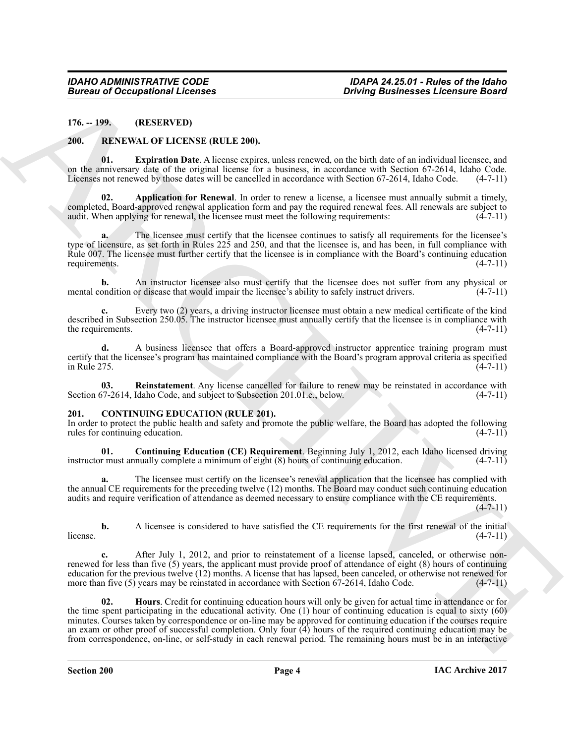<span id="page-3-0"></span>**176. -- 199. (RESERVED)**

#### <span id="page-3-8"></span><span id="page-3-6"></span><span id="page-3-1"></span>**200. RENEWAL OF LICENSE (RULE 200).**

**01. Expiration Date**. A license expires, unless renewed, on the birth date of an individual licensee, and on the anniversary date of the original license for a business, in accordance with Section 67-2614, Idaho Code. Licenses not renewed by those dates will be cancelled in accordance with Section 67-2614, Idaho Code. (4-7-11)

<span id="page-3-7"></span>**02. Application for Renewal**. In order to renew a license, a licensee must annually submit a timely, completed, Board-approved renewal application form and pay the required renewal fees. All renewals are subject to audit. When applying for renewal, the licensee must meet the following requirements: (4-7-11) audit. When applying for renewal, the licensee must meet the following requirements:

**a.** The licensee must certify that the licensee continues to satisfy all requirements for the licensee's type of licensure, as set forth in Rules 225 and 250, and that the licensee is, and has been, in full compliance with Rule 007. The licensee must further certify that the licensee is in compliance with the Board's continuing education requirements.  $(4-7-11)$ requirements.

**b.** An instructor licensee also must certify that the licensee does not suffer from any physical or ondition or disease that would impair the licensee's ability to safely instruct drivers. (4-7-11) mental condition or disease that would impair the licensee's ability to safely instruct drivers.

**c.** Every two (2) years, a driving instructor licensee must obtain a new medical certificate of the kind described in Subsection 250.05. The instructor licensee must annually certify that the licensee is in compliance with the requirements.  $(4-7-11)$ 

**d.** A business licensee that offers a Board-approved instructor apprentice training program must certify that the licensee's program has maintained compliance with the Board's program approval criteria as specified in Rule 275. (4-7-11)

<span id="page-3-9"></span>**03.** Reinstatement. Any license cancelled for failure to renew may be reinstated in accordance with  $77-2614$ , Idaho Code, and subject to Subsection 201.01.c., below. (4-7-11) Section 67-2614, Idaho Code, and subject to Subsection 201.01.c., below.

#### <span id="page-3-3"></span><span id="page-3-2"></span>**201. CONTINUING EDUCATION (RULE 201).**

In order to protect the public health and safety and promote the public welfare, the Board has adopted the following rules for continuing education. (4-7-11) rules for continuing education.

<span id="page-3-4"></span>**01. Continuing Education (CE) Requirement**. Beginning July 1, 2012, each Idaho licensed driving r must annually complete a minimum of eight (8) hours of continuing education. (4-7-11) instructor must annually complete a minimum of eight  $(8)$  hours of continuing education.

**a.** The licensee must certify on the licensee's renewal application that the licensee has complied with the annual CE requirements for the preceding twelve (12) months. The Board may conduct such continuing education audits and require verification of attendance as deemed necessary to ensure compliance with the CE requirements. (4-7-11)

**b.** A licensee is considered to have satisfied the CE requirements for the first renewal of the initial  $(4-7-11)$  $l$  license.  $(4-7-11)$ 

<span id="page-3-5"></span>After July 1, 2012, and prior to reinstatement of a license lapsed, canceled, or otherwise nonrenewed for less than five (5) years, the applicant must provide proof of attendance of eight (8) hours of continuing education for the previous twelve  $(12)$  months. A license that has lapsed, been canceled, or otherwise not renewed for more than five  $(5)$  years may be reinstated in accordance with Section 67-2614, Idaho Code.  $(4-7-11$ more than five  $(5)$  years may be reinstated in accordance with Section 67-2614, Idaho Code.

**EVERY 19. CONSULTERIES AND ACCURACY CONSULTERIES**<br>
17. **THE SECURE CONSULTERIES**<br>
20. **THE SECURE CONSULTERIES**<br>
20. **THE SECURE CONSULTERIES**<br>
20. **THE SECURE CONSULTERIES**<br>
20. **ARCHIVE CONSULTERIES**<br>
20. **ARCHIVE CO 02. Hours**. Credit for continuing education hours will only be given for actual time in attendance or for the time spent participating in the educational activity. One (1) hour of continuing education is equal to sixty (60) minutes. Courses taken by correspondence or on-line may be approved for continuing education if the courses require an exam or other proof of successful completion. Only four (4) hours of the required continuing education may be from correspondence, on-line, or self-study in each renewal period. The remaining hours must be in an interactive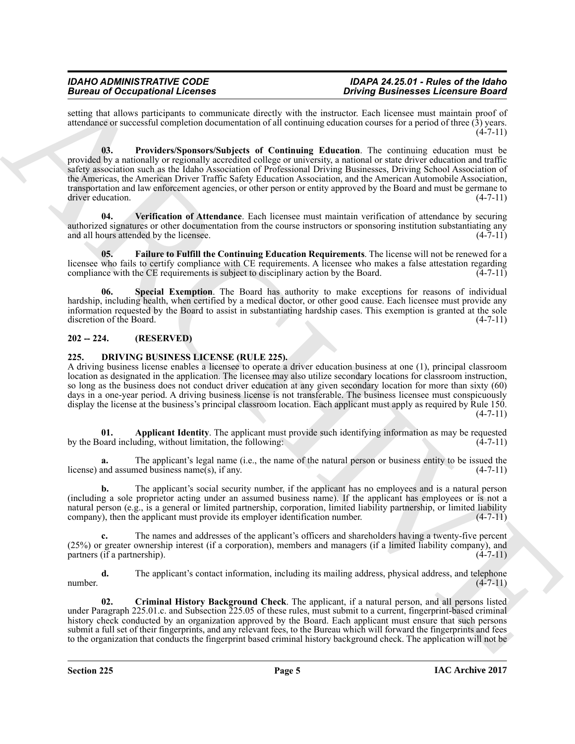<span id="page-4-3"></span>setting that allows participants to communicate directly with the instructor. Each licensee must maintain proof of attendance or successful completion documentation of all continuing education courses for a period of three (3) years.  $(4 - 7 - 11)$ 

Brain and Cocapabilitations of the state and the state and the state and the state and the state of the state of the state of the state of the state of the state of the state of the state of the state of the state of the **03. Providers/Sponsors/Subjects of Continuing Education**. The continuing education must be provided by a nationally or regionally accredited college or university, a national or state driver education and traffic safety association such as the Idaho Association of Professional Driving Businesses, Driving School Association of the Americas, the American Driver Traffic Safety Education Association, and the American Automobile Association, transportation and law enforcement agencies, or other person or entity approved by the Board and must be germane to driver education. (4-7-11)

<span id="page-4-5"></span>**04. Verification of Attendance**. Each licensee must maintain verification of attendance by securing authorized signatures or other documentation from the course instructors or sponsoring institution substantiating any and all hours attended by the licensee.

<span id="page-4-2"></span>**05. Failure to Fulfill the Continuing Education Requirements**. The license will not be renewed for a licensee who fails to certify compliance with CE requirements. A licensee who makes a false attestation regarding compliance with the CE requirements is subject to disciplinary action by the Board. (4-7-11) compliance with the CE requirements is subject to disciplinary action by the Board.

<span id="page-4-4"></span>**Special Exemption**. The Board has authority to make exceptions for reasons of individual hardship, including health, when certified by a medical doctor, or other good cause. Each licensee must provide any information requested by the Board to assist in substantiating hardship cases. This exemption is granted at the sole discretion of the Board.

# <span id="page-4-0"></span>**202 -- 224. (RESERVED)**

## <span id="page-4-6"></span><span id="page-4-1"></span>**225. DRIVING BUSINESS LICENSE (RULE 225).**

A driving business license enables a licensee to operate a driver education business at one (1), principal classroom location as designated in the application. The licensee may also utilize secondary locations for classroom instruction, so long as the business does not conduct driver education at any given secondary location for more than sixty (60) days in a one-year period. A driving business license is not transferable. The business licensee must conspicuously display the license at the business's principal classroom location. Each applicant must apply as required by Rule 150.  $(4 - 7 - 11)$ 

<span id="page-4-7"></span>**01. Applicant Identity**. The applicant must provide such identifying information as may be requested pard including, without limitation, the following: (4-7-11) by the Board including, without limitation, the following:

**a.** The applicant's legal name (i.e., the name of the natural person or business entity to be issued the license) and assumed business name(s), if any. (4-7-11)

**b.** The applicant's social security number, if the applicant has no employees and is a natural person (including a sole proprietor acting under an assumed business name). If the applicant has employees or is not a natural person (e.g., is a general or limited partnership, corporation, limited liability partnership, or limited liability company), then the applicant must provide its employer identification number.  $(4-7-11)$ company), then the applicant must provide its employer identification number.

**c.** The names and addresses of the applicant's officers and shareholders having a twenty-five percent (25%) or greater ownership interest (if a corporation), members and managers (if a limited liability company), and partners (if a partnership).  $(4-7-11)$ 

**d.** The applicant's contact information, including its mailing address, physical address, and telephone (4-7-11) number.  $(4-7-11)$ 

<span id="page-4-8"></span>**02. Criminal History Background Check**. The applicant, if a natural person, and all persons listed under Paragraph 225.01.c. and Subsection 225.05 of these rules, must submit to a current, fingerprint-based criminal history check conducted by an organization approved by the Board. Each applicant must ensure that such persons submit a full set of their fingerprints, and any relevant fees, to the Bureau which will forward the fingerprints and fees to the organization that conducts the fingerprint based criminal history background check. The application will not be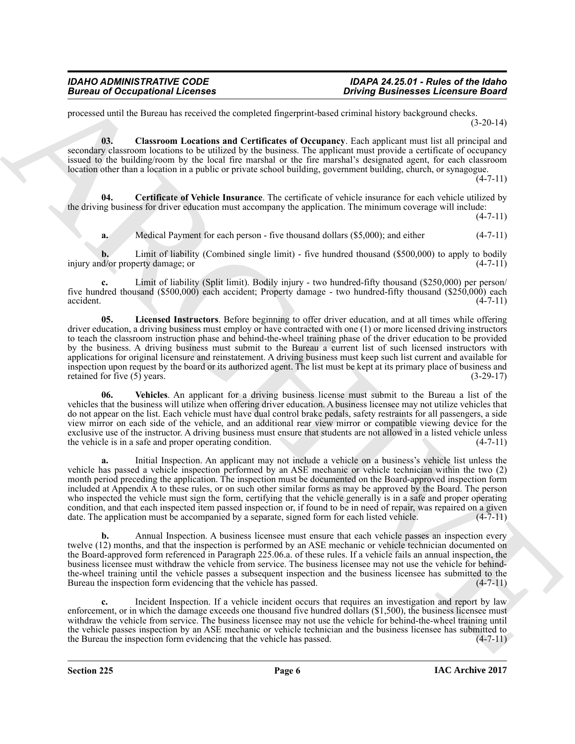processed until the Bureau has received the completed fingerprint-based criminal history background checks. (3-20-14)

<span id="page-5-1"></span>**03. Classroom Locations and Certificates of Occupancy**. Each applicant must list all principal and secondary classroom locations to be utilized by the business. The applicant must provide a certificate of occupancy issued to the building/room by the local fire marshal or the fire marshal's designated agent, for each classroom location other than a location in a public or private school building, government building, church, or synagogue.

 $(4 - 7 - 11)$ 

**04. Certificate of Vehicle Insurance**. The certificate of vehicle insurance for each vehicle utilized by the driving business for driver education must accompany the application. The minimum coverage will include:

 $(4 - 7 - 11)$ 

<span id="page-5-0"></span>**a.** Medical Payment for each person - five thousand dollars (\$5,000); and either (4-7-11)

**b.** Limit of liability (Combined single limit) - five hundred thousand (\$500,000) to apply to bodily d/or property damage; or (4-7-11) injury and/or property damage; or

<span id="page-5-2"></span>**c.** Limit of liability (Split limit). Bodily injury - two hundred-fifty thousand (\$250,000) per person/ five hundred thousand (\$500,000) each accident; Property damage - two hundred-fifty thousand (\$250,000) each accident. (4-7-11) accident. (4-7-11)

Borows of Occupations I Leonards<br>
Solven and the state of the state of the state of the state of the state of the state of the state of the state of the state of the state of the state of the state of the state of the sta **05. Licensed Instructors**. Before beginning to offer driver education, and at all times while offering driver education, a driving business must employ or have contracted with one (1) or more licensed driving instructors to teach the classroom instruction phase and behind-the-wheel training phase of the driver education to be provided by the business. A driving business must submit to the Bureau a current list of such licensed instructors with applications for original licensure and reinstatement. A driving business must keep such list current and available for inspection upon request by the board or its authorized agent. The list must be kept at its primary place of business and retained for five (5) years. (3-29-17) retained for five (5) years.

<span id="page-5-3"></span>**06. Vehicles**. An applicant for a driving business license must submit to the Bureau a list of the vehicles that the business will utilize when offering driver education. A business licensee may not utilize vehicles that do not appear on the list. Each vehicle must have dual control brake pedals, safety restraints for all passengers, a side view mirror on each side of the vehicle, and an additional rear view mirror or compatible viewing device for the exclusive use of the instructor. A driving business must ensure that students are not allowed in a listed vehicle unless<br>the vehicle is in a safe and proper operating condition. (4-7-11) the vehicle is in a safe and proper operating condition.

**a.** Initial Inspection. An applicant may not include a vehicle on a business's vehicle list unless the vehicle has passed a vehicle inspection performed by an ASE mechanic or vehicle technician within the two (2) month period preceding the application. The inspection must be documented on the Board-approved inspection form included at Appendix A to these rules, or on such other similar forms as may be approved by the Board. The person who inspected the vehicle must sign the form, certifying that the vehicle generally is in a safe and proper operating condition, and that each inspected item passed inspection or, if found to be in need of repair, was repaired on a given date. The application must be accompanied by a separate, signed form for each listed vehicle. (4-7-11) date. The application must be accompanied by a separate, signed form for each listed vehicle.

**b.** Annual Inspection. A business licensee must ensure that each vehicle passes an inspection every twelve (12) months, and that the inspection is performed by an ASE mechanic or vehicle technician documented on the Board-approved form referenced in Paragraph 225.06.a. of these rules. If a vehicle fails an annual inspection, the business licensee must withdraw the vehicle from service. The business licensee may not use the vehicle for behindthe-wheel training until the vehicle passes a subsequent inspection and the business licensee has submitted to the Bureau the inspection form evidencing that the vehicle has passed. (4-7-11) Bureau the inspection form evidencing that the vehicle has passed.

**c.** Incident Inspection. If a vehicle incident occurs that requires an investigation and report by law enforcement, or in which the damage exceeds one thousand five hundred dollars (\$1,500), the business licensee must withdraw the vehicle from service. The business licensee may not use the vehicle for behind-the-wheel training until the vehicle passes inspection by an ASE mechanic or vehicle technician and the business licensee has submitted to the Bureau the inspection form evidencing that the vehicle has passed. (4-7-11) the Bureau the inspection form evidencing that the vehicle has passed.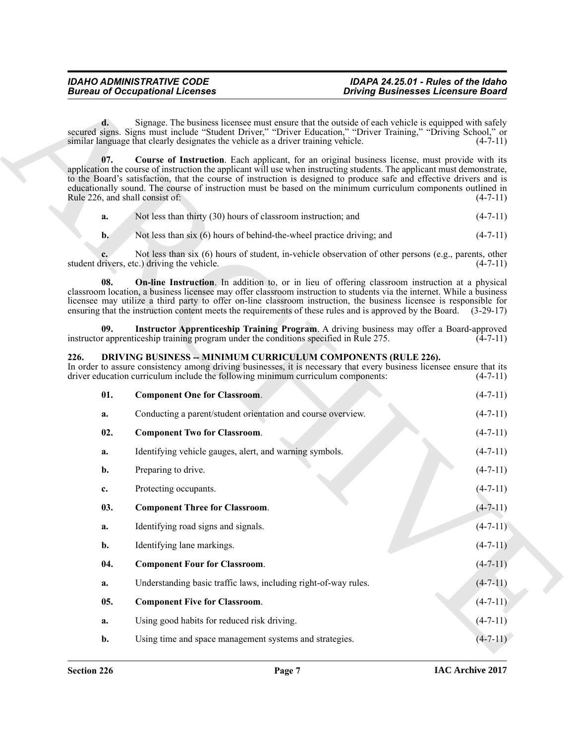<span id="page-6-9"></span><span id="page-6-7"></span>

|  | Not less than thirty (30) hours of classroom instruction; and | $(4-7-11)$ |
|--|---------------------------------------------------------------|------------|
|--|---------------------------------------------------------------|------------|

#### <span id="page-6-8"></span><span id="page-6-6"></span><span id="page-6-5"></span><span id="page-6-4"></span><span id="page-6-3"></span><span id="page-6-2"></span><span id="page-6-1"></span><span id="page-6-0"></span>**226. DRIVING BUSINESS -- MINIMUM CURRICULUM COMPONENTS (RULE 226).**

|                | <b>Bureau of Occupational Licenses</b>                                                                                                            | <b>Driving Businesses Licensure Board</b>                                                                                                                                                                                                                                                                                                                                                                                                                                               |                |  |  |  |
|----------------|---------------------------------------------------------------------------------------------------------------------------------------------------|-----------------------------------------------------------------------------------------------------------------------------------------------------------------------------------------------------------------------------------------------------------------------------------------------------------------------------------------------------------------------------------------------------------------------------------------------------------------------------------------|----------------|--|--|--|
| d.             | similar language that clearly designates the vehicle as a driver training vehicle.                                                                | Signage. The business licensee must ensure that the outside of each vehicle is equipped with safely<br>secured signs. Signs must include "Student Driver," "Driver Education," "Driver Training," "Driving School," or                                                                                                                                                                                                                                                                  | $(4-7-11)$     |  |  |  |
| 07.            | Rule 226, and shall consist of:                                                                                                                   | <b>Course of Instruction.</b> Each applicant, for an original business license, must provide with its<br>application the course of instruction the applicant will use when instructing students. The applicant must demonstrate,<br>to the Board's satisfaction, that the course of instruction is designed to produce safe and effective drivers and is<br>educationally sound. The course of instruction must be based on the minimum curriculum components outlined in<br>$(4-7-11)$ |                |  |  |  |
| a.             | Not less than thirty (30) hours of classroom instruction; and                                                                                     |                                                                                                                                                                                                                                                                                                                                                                                                                                                                                         | $(4-7-11)$     |  |  |  |
| $\mathbf{b}$ . | Not less than six (6) hours of behind-the-wheel practice driving; and                                                                             |                                                                                                                                                                                                                                                                                                                                                                                                                                                                                         | $(4-7-11)$     |  |  |  |
|                | student drivers, etc.) driving the vehicle.                                                                                                       | Not less than six (6) hours of student, in-vehicle observation of other persons (e.g., parents, other                                                                                                                                                                                                                                                                                                                                                                                   | $(4-7-11)$     |  |  |  |
| 08.            |                                                                                                                                                   | <b>On-line Instruction</b> . In addition to, or in lieu of offering classroom instruction at a physical<br>classroom location, a business licensee may offer classroom instruction to students via the internet. While a business<br>licensee may utilize a third party to offer on-line classroom instruction, the business licensee is responsible for<br>ensuring that the instruction content meets the requirements of these rules and is approved by the Board. (3-29-17)         |                |  |  |  |
| 09.            | instructor apprenticeship training program under the conditions specified in Rule 275.                                                            | Instructor Apprenticeship Training Program. A driving business may offer a Board-approved                                                                                                                                                                                                                                                                                                                                                                                               | $(4-7-11)$     |  |  |  |
| 226.           | DRIVING BUSINESS -- MINIMUM CURRICULUM COMPONENTS (RULE 226).<br>driver education curriculum include the following minimum curriculum components: | In order to assure consistency among driving businesses, it is necessary that every business licensee ensure that its                                                                                                                                                                                                                                                                                                                                                                   | $(4-7-11)$     |  |  |  |
| 01.            | <b>Component One for Classroom.</b>                                                                                                               |                                                                                                                                                                                                                                                                                                                                                                                                                                                                                         | $(4-7-11)$     |  |  |  |
| a.             | Conducting a parent/student orientation and course overview.                                                                                      |                                                                                                                                                                                                                                                                                                                                                                                                                                                                                         | $(4-7-11)$     |  |  |  |
| 02.            | <b>Component Two for Classroom.</b>                                                                                                               |                                                                                                                                                                                                                                                                                                                                                                                                                                                                                         | $(4-7-11)$     |  |  |  |
| a.             | Identifying vehicle gauges, alert, and warning symbols.                                                                                           |                                                                                                                                                                                                                                                                                                                                                                                                                                                                                         | $(4-7-11)$     |  |  |  |
| b.             | Preparing to drive.                                                                                                                               |                                                                                                                                                                                                                                                                                                                                                                                                                                                                                         | $(4-7-11)$     |  |  |  |
| c.             | Protecting occupants.                                                                                                                             |                                                                                                                                                                                                                                                                                                                                                                                                                                                                                         | $(4-7-11)$     |  |  |  |
| 03.            | <b>Component Three for Classroom.</b>                                                                                                             |                                                                                                                                                                                                                                                                                                                                                                                                                                                                                         | $(4 - 7 - 11)$ |  |  |  |
| a.             | Identifying road signs and signals.                                                                                                               |                                                                                                                                                                                                                                                                                                                                                                                                                                                                                         | $(4 - 7 - 11)$ |  |  |  |
| b.             | Identifying lane markings.                                                                                                                        |                                                                                                                                                                                                                                                                                                                                                                                                                                                                                         | $(4-7-11)$     |  |  |  |
| 04.            | <b>Component Four for Classroom.</b>                                                                                                              |                                                                                                                                                                                                                                                                                                                                                                                                                                                                                         | $(4 - 7 - 11)$ |  |  |  |
| a.             | Understanding basic traffic laws, including right-of-way rules.                                                                                   |                                                                                                                                                                                                                                                                                                                                                                                                                                                                                         | $(4-7-11)$     |  |  |  |
| 05.            | <b>Component Five for Classroom.</b>                                                                                                              |                                                                                                                                                                                                                                                                                                                                                                                                                                                                                         | $(4 - 7 - 11)$ |  |  |  |
| a.             | Using good habits for reduced risk driving.                                                                                                       |                                                                                                                                                                                                                                                                                                                                                                                                                                                                                         | $(4 - 7 - 11)$ |  |  |  |
| b.             | Using time and space management systems and strategies.                                                                                           |                                                                                                                                                                                                                                                                                                                                                                                                                                                                                         | $(4-7-11)$     |  |  |  |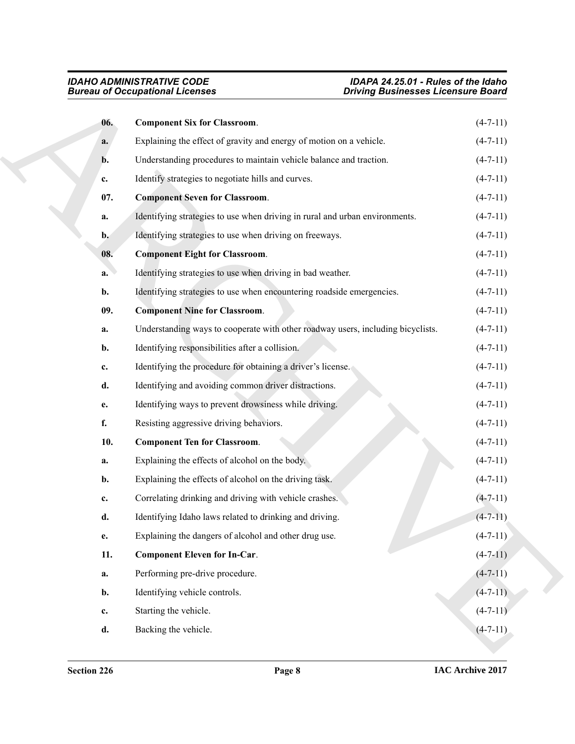<span id="page-7-5"></span><span id="page-7-4"></span><span id="page-7-3"></span><span id="page-7-2"></span><span id="page-7-1"></span><span id="page-7-0"></span>

|                | <b>Bureau of Occupational Licenses</b>                                          | <b>Driving Businesses Licensure Board</b> |
|----------------|---------------------------------------------------------------------------------|-------------------------------------------|
| 06.            | <b>Component Six for Classroom.</b>                                             | $(4-7-11)$                                |
| a.             | Explaining the effect of gravity and energy of motion on a vehicle.             | $(4-7-11)$                                |
| b.             | Understanding procedures to maintain vehicle balance and traction.              | $(4-7-11)$                                |
| c.             | Identify strategies to negotiate hills and curves.                              | $(4-7-11)$                                |
| 07.            | <b>Component Seven for Classroom.</b>                                           | $(4-7-11)$                                |
| a.             | Identifying strategies to use when driving in rural and urban environments.     | $(4-7-11)$                                |
| $\mathbf{b}$ . | Identifying strategies to use when driving on freeways.                         | $(4-7-11)$                                |
| 08.            | <b>Component Eight for Classroom.</b>                                           | $(4-7-11)$                                |
| a.             | Identifying strategies to use when driving in bad weather.                      | $(4-7-11)$                                |
| b.             | Identifying strategies to use when encountering roadside emergencies.           | $(4-7-11)$                                |
| 09.            | <b>Component Nine for Classroom.</b>                                            | $(4-7-11)$                                |
| a.             | Understanding ways to cooperate with other roadway users, including bicyclists. | $(4-7-11)$                                |
| b.             | Identifying responsibilities after a collision.                                 | $(4-7-11)$                                |
| c.             | Identifying the procedure for obtaining a driver's license.                     | $(4-7-11)$                                |
| d.             | Identifying and avoiding common driver distractions.                            | $(4-7-11)$                                |
| e.             | Identifying ways to prevent drowsiness while driving.                           | $(4-7-11)$                                |
| f.             | Resisting aggressive driving behaviors.                                         | $(4-7-11)$                                |
| 10.            | <b>Component Ten for Classroom.</b>                                             | $(4-7-11)$                                |
| a.             | Explaining the effects of alcohol on the body.                                  | $(4-7-11)$                                |
| b.             | Explaining the effects of alcohol on the driving task.                          | $(4-7-11)$                                |
| c.             | Correlating drinking and driving with vehicle crashes.                          | $(4 - 7 - 11)$                            |
| d.             | Identifying Idaho laws related to drinking and driving.                         | $(4 - 7 - 11)$                            |
| e.             | Explaining the dangers of alcohol and other drug use.                           | $(4 - 7 - 11)$                            |
| 11.            | <b>Component Eleven for In-Car.</b>                                             | $(4-7-11)$                                |
| a.             | Performing pre-drive procedure.                                                 | $(4 - 7 - 11)$                            |
| b.             | Identifying vehicle controls.                                                   | $(4-7-11)$                                |
| $\mathbf{c}$ . | Starting the vehicle.                                                           | $(4-7-11)$                                |
|                |                                                                                 |                                           |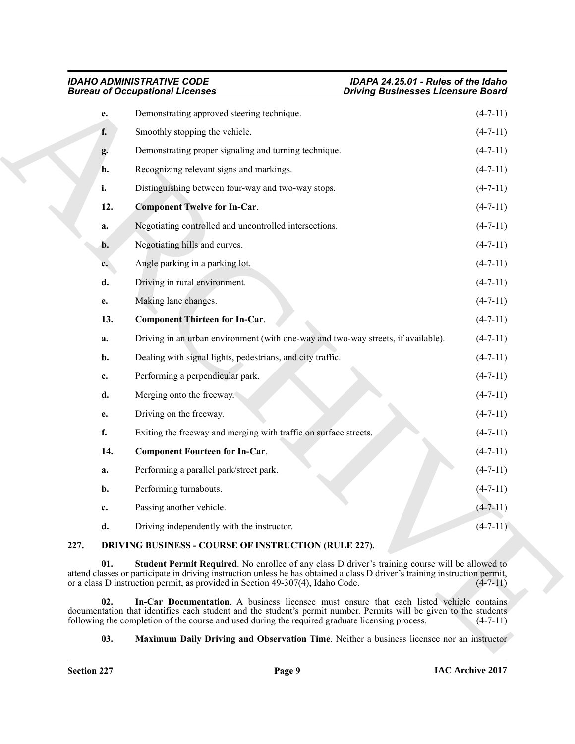<span id="page-8-7"></span><span id="page-8-6"></span>

| <b>IDAHO ADMINISTRATIVE CODE</b>       |  |
|----------------------------------------|--|
| <b>Bureau of Occupational Licenses</b> |  |

|      |             | <b>Bureau of Occupational Licenses</b>                                                                                                                                                                                                                                                                           | <b>Driving Businesses Licensure Board</b> |
|------|-------------|------------------------------------------------------------------------------------------------------------------------------------------------------------------------------------------------------------------------------------------------------------------------------------------------------------------|-------------------------------------------|
|      | е.          | Demonstrating approved steering technique.                                                                                                                                                                                                                                                                       | $(4-7-11)$                                |
|      | f.          | Smoothly stopping the vehicle.                                                                                                                                                                                                                                                                                   | $(4-7-11)$                                |
|      | g.          | Demonstrating proper signaling and turning technique.                                                                                                                                                                                                                                                            | $(4-7-11)$                                |
|      | h.          | Recognizing relevant signs and markings.                                                                                                                                                                                                                                                                         | $(4-7-11)$                                |
|      | i.          | Distinguishing between four-way and two-way stops.                                                                                                                                                                                                                                                               | $(4-7-11)$                                |
|      | 12.         | <b>Component Twelve for In-Car.</b>                                                                                                                                                                                                                                                                              | $(4 - 7 - 11)$                            |
|      | a.          | Negotiating controlled and uncontrolled intersections.                                                                                                                                                                                                                                                           | $(4-7-11)$                                |
|      | b.          | Negotiating hills and curves.                                                                                                                                                                                                                                                                                    | $(4-7-11)$                                |
|      | $c_{\cdot}$ | Angle parking in a parking lot.                                                                                                                                                                                                                                                                                  | $(4-7-11)$                                |
|      | d.          | Driving in rural environment.                                                                                                                                                                                                                                                                                    | $(4-7-11)$                                |
|      | e.          | Making lane changes.                                                                                                                                                                                                                                                                                             | $(4-7-11)$                                |
|      | 13.         | <b>Component Thirteen for In-Car.</b>                                                                                                                                                                                                                                                                            | $(4-7-11)$                                |
|      | a.          | Driving in an urban environment (with one-way and two-way streets, if available).                                                                                                                                                                                                                                | $(4-7-11)$                                |
|      | b.          | Dealing with signal lights, pedestrians, and city traffic.                                                                                                                                                                                                                                                       | $(4-7-11)$                                |
|      | c.          | Performing a perpendicular park.                                                                                                                                                                                                                                                                                 | $(4-7-11)$                                |
|      | d.          | Merging onto the freeway.                                                                                                                                                                                                                                                                                        | $(4-7-11)$                                |
|      | e.          | Driving on the freeway.                                                                                                                                                                                                                                                                                          | $(4-7-11)$                                |
|      | f.          | Exiting the freeway and merging with traffic on surface streets.                                                                                                                                                                                                                                                 | $(4-7-11)$                                |
|      | 14.         | <b>Component Fourteen for In-Car.</b>                                                                                                                                                                                                                                                                            | $(4-7-11)$                                |
|      | a.          | Performing a parallel park/street park.                                                                                                                                                                                                                                                                          | $(4-7-11)$                                |
|      | b.          | Performing turnabouts.                                                                                                                                                                                                                                                                                           | $(4 - 7 - 11)$                            |
|      | c.          | Passing another vehicle.                                                                                                                                                                                                                                                                                         | $(4 - 7 - 11)$                            |
|      | d.          | Driving independently with the instructor.                                                                                                                                                                                                                                                                       | $(4 - 7 - 11)$                            |
| 227. |             | DRIVING BUSINESS - COURSE OF INSTRUCTION (RULE 227).                                                                                                                                                                                                                                                             |                                           |
|      | 01.         | Student Permit Required. No enrollee of any class D driver's training course will be allowed to<br>attend classes or participate in driving instruction unless he has obtained a class D driver's training instruction permit,<br>or a class D instruction permit, as provided in Section 49-307(4), Idaho Code. | $(4-7-11)$                                |
|      | 02.         | In-Car Documentation. A business licensee must ensure that each listed vehicle contains<br>documentation that identifies each student and the student's permit number. Permits will be given to the students<br>following the completion of the course and used during the required graduate licensing process.  | $(4-7-11)$                                |
|      | 03.         | <b>Maximum Daily Driving and Observation Time.</b> Neither a business licensee nor an instructor                                                                                                                                                                                                                 |                                           |

# <span id="page-8-5"></span><span id="page-8-4"></span><span id="page-8-1"></span><span id="page-8-0"></span>**227. DRIVING BUSINESS - COURSE OF INSTRUCTION (RULE 227).**

### <span id="page-8-3"></span><span id="page-8-2"></span>**03. Maximum Daily Driving and Observation Time**. Neither a business licensee nor an instructor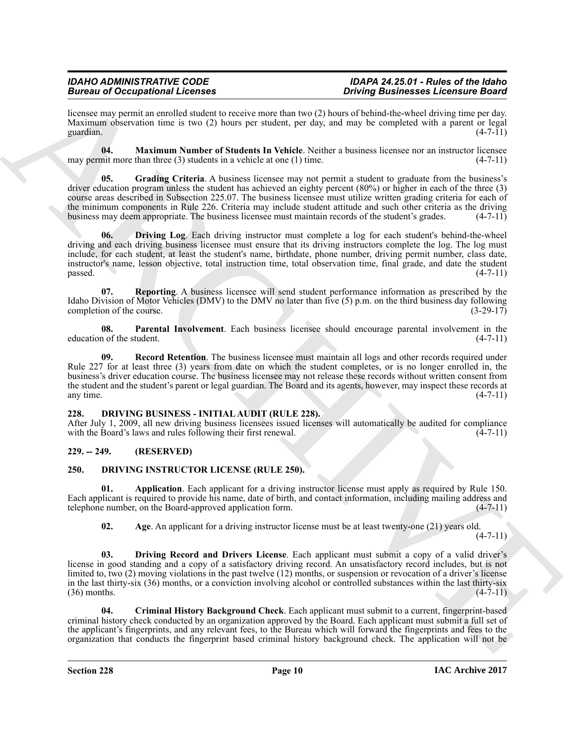licensee may permit an enrolled student to receive more than two (2) hours of behind-the-wheel driving time per day. Maximum observation time is two (2) hours per student, per day, and may be completed with a parent or legal guardian.  $(4-7-11)$ guardian.  $(4-7-11)$ 

<span id="page-9-5"></span>**04. Maximum Number of Students In Vehicle**. Neither a business licensee nor an instructor licensee may permit more than three  $(3)$  students in a vehicle at one  $(1)$  time.  $(4-7-11)$ 

<span id="page-9-4"></span><span id="page-9-3"></span>**05.** Grading Criteria. A business licensee may not permit a student to graduate from the business's driver education program unless the student has achieved an eighty percent (80%) or higher in each of the three (3) course areas described in Subsection 225.07. The business licensee must utilize written grading criteria for each of the minimum components in Rule 226. Criteria may include student attitude and such other criteria as the driving business may deem appropriate. The business licensee must maintain records of the student's grades. (4-7-11)

Branco are Conception of the results of the state of the state of the state of the state of the state of the state of the state of the state of the state of the state of the state of the state of the state of the state of **06. Driving Log**. Each driving instructor must complete a log for each student's behind-the-wheel driving and each driving business licensee must ensure that its driving instructors complete the log. The log must include, for each student, at least the student's name, birthdate, phone number, driving permit number, class date, instructor's name, lesson objective, total instruction time, total observation time, final grade, and date the student  $p$ assed.  $(4-7-11)$ 

<span id="page-9-8"></span>**07. Reporting**. A business licensee will send student performance information as prescribed by the Idaho Division of Motor Vehicles (DMV) to the DMV no later than five (5) p.m. on the third business day following completion of the course. (3-29-17) completion of the course.

<span id="page-9-6"></span>**08. Parental Involvement**. Each business licensee should encourage parental involvement in the education of the student. (4-7-11)

<span id="page-9-7"></span>**09.** Record Retention. The business licensee must maintain all logs and other records required under Rule 227 for at least three (3) years from date on which the student completes, or is no longer enrolled in, the business's driver education course. The business licensee may not release these records without written consent from the student and the student's parent or legal guardian. The Board and its agents, however, may inspect these records at any time. (4-7-11) any time.  $(4-7-11)$ 

#### <span id="page-9-9"></span><span id="page-9-0"></span>**228. DRIVING BUSINESS - INITIAL AUDIT (RULE 228).**

After July 1, 2009, all new driving business licensees issued licenses will automatically be audited for compliance with the Board's laws and rules following their first renewal. (4-7-11) with the Board's laws and rules following their first renewal.

### <span id="page-9-1"></span>**229. -- 249. (RESERVED)**

### <span id="page-9-10"></span><span id="page-9-2"></span>**250. DRIVING INSTRUCTOR LICENSE (RULE 250).**

**01. Application**. Each applicant for a driving instructor license must apply as required by Rule 150. Each applicant is required to provide his name, date of birth, and contact information, including mailing address and telephone number, on the Board-approved application form. (4-7-11)

<span id="page-9-14"></span><span id="page-9-12"></span><span id="page-9-11"></span>**02.** Age. An applicant for a driving instructor license must be at least twenty-one (21) years old.

 $(4 - 7 - 11)$ 

**03. Driving Record and Drivers License**. Each applicant must submit a copy of a valid driver's license in good standing and a copy of a satisfactory driving record. An unsatisfactory record includes, but is not limited to, two (2) moving violations in the past twelve (12) months, or suspension or revocation of a driver's license in the last thirty-six (36) months, or a conviction involving alcohol or controlled substances within the last thirty-six  $(36)$  months.  $(4-7-11)$ 

<span id="page-9-13"></span>**04. Criminal History Background Check**. Each applicant must submit to a current, fingerprint-based criminal history check conducted by an organization approved by the Board. Each applicant must submit a full set of the applicant's fingerprints, and any relevant fees, to the Bureau which will forward the fingerprints and fees to the organization that conducts the fingerprint based criminal history background check. The application will not be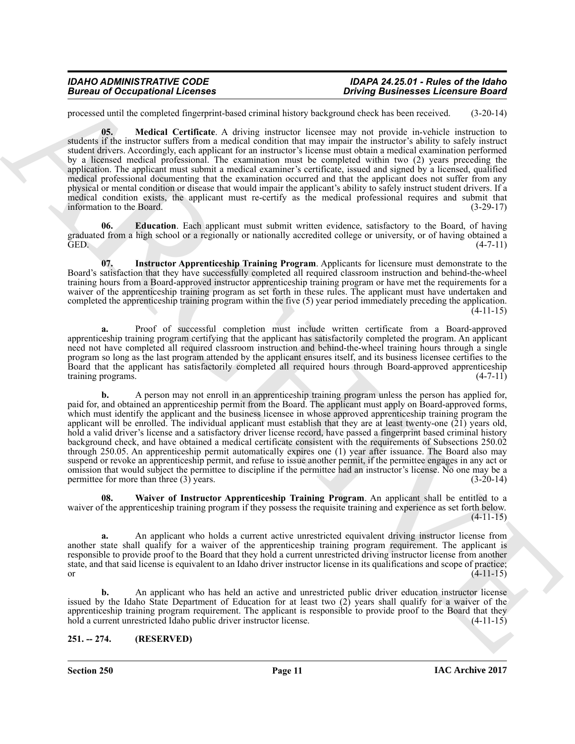<span id="page-10-3"></span>processed until the completed fingerprint-based criminal history background check has been received. (3-20-14)

**05. Medical Certificate**. A driving instructor licensee may not provide in-vehicle instruction to students if the instructor suffers from a medical condition that may impair the instructor's ability to safely instruct student drivers. Accordingly, each applicant for an instructor's license must obtain a medical examination performed by a licensed medical professional. The examination must be completed within two (2) years preceding the application. The applicant must submit a medical examiner's certificate, issued and signed by a licensed, qualified medical professional documenting that the examination occurred and that the applicant does not suffer from any physical or mental condition or disease that would impair the applicant's ability to safely instruct student drivers. If a medical condition exists, the applicant must re-certify as the medical professional requires and submit that information to the Board. (3-29-17) information to the Board.

<span id="page-10-1"></span>**06. Education**. Each applicant must submit written evidence, satisfactory to the Board, of having graduated from a high school or a regionally or nationally accredited college or university, or of having obtained a GED. GED. (4-7-11)

<span id="page-10-2"></span>**07. Instructor Apprenticeship Training Program**. Applicants for licensure must demonstrate to the Board's satisfaction that they have successfully completed all required classroom instruction and behind-the-wheel training hours from a Board-approved instructor apprenticeship training program or have met the requirements for a waiver of the apprenticeship training program as set forth in these rules. The applicant must have undertaken and completed the apprenticeship training program within the five (5) year period immediately preceding the application.  $(4-11-15)$ 

**a.** Proof of successful completion must include written certificate from a Board-approved apprenticeship training program certifying that the applicant has satisfactorily completed the program. An applicant need not have completed all required classroom instruction and behind-the-wheel training hours through a single program so long as the last program attended by the applicant ensures itself, and its business licensee certifies to the Board that the applicant has satisfactorily completed all required hours through Board-approved apprenticeship training programs. (4-7-11) training programs.

Biomass of Occupations I. Leonard Compatibility (when the three control in the state of the state of the state of the state of the state of the state of the state of the state of the state of the state of the state of the **b.** A person may not enroll in an apprenticeship training program unless the person has applied for, paid for, and obtained an apprenticeship permit from the Board. The applicant must apply on Board-approved forms, which must identify the applicant and the business licensee in whose approved apprenticeship training program the applicant will be enrolled. The individual applicant must establish that they are at least twenty-one  $(21)$  years old, hold a valid driver's license and a satisfactory driver license record, have passed a fingerprint based criminal history background check, and have obtained a medical certificate consistent with the requirements of Subsections 250.02 through 250.05. An apprenticeship permit automatically expires one (1) year after issuance. The Board also may suspend or revoke an apprenticeship permit, and refuse to issue another permit, if the permittee engages in any act or omission that would subject the permittee to discipline if the permittee had an instructor's license. No one may be a permittee for more than three (3) years. (3-20-14) permittee for more than three  $(3)$  years.

<span id="page-10-4"></span>**08. Waiver of Instructor Apprenticeship Training Program**. An applicant shall be entitled to a waiver of the apprenticeship training program if they possess the requisite training and experience as set forth below.  $(4-11-15)$ 

**a.** An applicant who holds a current active unrestricted equivalent driving instructor license from another state shall qualify for a waiver of the apprenticeship training program requirement. The applicant is responsible to provide proof to the Board that they hold a current unrestricted driving instructor license from another state, and that said license is equivalent to an Idaho driver instructor license in its qualifications and scope of practice; or  $(4-11-15)$ 

**b.** An applicant who has held an active and unrestricted public driver education instructor license issued by the Idaho State Department of Education for at least two (2) years shall qualify for a waiver of the apprenticeship training program requirement. The applicant is responsible to provide proof to the Board that they<br>hold a current unrestricted Idaho public driver instructor license. (4-11-15) hold a current unrestricted Idaho public driver instructor license.

### <span id="page-10-0"></span>**251. -- 274. (RESERVED)**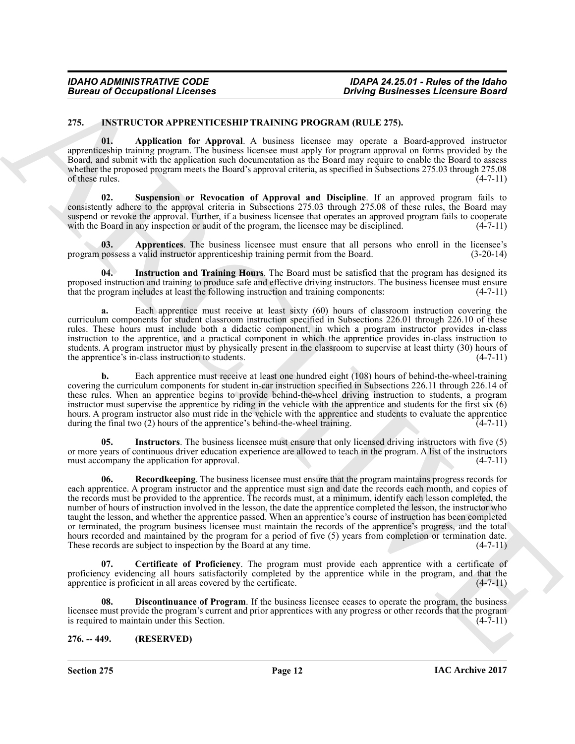#### <span id="page-11-2"></span><span id="page-11-0"></span>**275. INSTRUCTOR APPRENTICESHIP TRAINING PROGRAM (RULE 275).**

<span id="page-11-3"></span>**01. Application for Approval**. A business licensee may operate a Board-approved instructor apprenticeship training program. The business licensee must apply for program approval on forms provided by the Board, and submit with the application such documentation as the Board may require to enable the Board to assess whether the proposed program meets the Board's approval criteria, as specified in Subsections 275.03 through 275.08 of these rules.  $(4-7-11)$ 

<span id="page-11-10"></span>**Suspension or Revocation of Approval and Discipline**. If an approved program fails to consistently adhere to the approval criteria in Subsections 275.03 through 275.08 of these rules, the Board may suspend or revoke the approval. Further, if a business licensee that operates an approved program fails to cooperate with the Board in any inspection or audit of the program, the licensee may be disciplined. (4-7-11) with the Board in any inspection or audit of the program, the licensee may be disciplined.

<span id="page-11-4"></span>**03.** Apprentices. The business licensee must ensure that all persons who enroll in the licensee's possess a valid instructor apprenticeship training permit from the Board. (3-20-14) program possess a valid instructor apprenticeship training permit from the Board.

<span id="page-11-7"></span>**04. Instruction and Training Hours**. The Board must be satisfied that the program has designed its proposed instruction and training to produce safe and effective driving instructors. The business licensee must ensure that the program includes at least the following instruction and training components:  $(4-7-11)$ that the program includes at least the following instruction and training components:

**a.** Each apprentice must receive at least sixty (60) hours of classroom instruction covering the curriculum components for student classroom instruction specified in Subsections 226.01 through 226.10 of these rules. These hours must include both a didactic component, in which a program instructor provides in-class instruction to the apprentice, and a practical component in which the apprentice provides in-class instruction to students. A program instructor must by physically present in the classroom to supervise at least thirty (30) hours of the apprentice's in-class instruction to students.  $(4-7-11)$ the apprentice's in-class instruction to students.

**b.** Each apprentice must receive at least one hundred eight (108) hours of behind-the-wheel-training covering the curriculum components for student in-car instruction specified in Subsections 226.11 through 226.14 of these rules. When an apprentice begins to provide behind-the-wheel driving instruction to students, a program instructor must supervise the apprentice by riding in the vehicle with the apprentice and students for the first six (6) hours. A program instructor also must ride in the vehicle with the apprentice and students to evaluate the apprentice during the final two (2) hours of the apprentice's behind-the-wheel training. (4-7-11)

<span id="page-11-9"></span><span id="page-11-8"></span>**05. Instructors**. The business licensee must ensure that only licensed driving instructors with five (5) or more years of continuous driver education experience are allowed to teach in the program. A list of the instructors must accompany the application for approval. (4-7-11) must accompany the application for approval.

**Boorne of Occupational Licenses<br>
25. INSTRUCTURE TRAINING PROGRAM (I.E., 2008)<br>
25. INSTRUCTION TRAINING PROGRAM (I.E., 2008)<br>
27. IS TRAINING PROGRAM (I.E., 2008)<br>
27. IS TRAINING PROGRAM (I.E., 2008)<br>
28. IS CONSIDER T 06. Recordkeeping**. The business licensee must ensure that the program maintains progress records for each apprentice. A program instructor and the apprentice must sign and date the records each month, and copies of the records must be provided to the apprentice. The records must, at a minimum, identify each lesson completed, the number of hours of instruction involved in the lesson, the date the apprentice completed the lesson, the instructor who taught the lesson, and whether the apprentice passed. When an apprentice's course of instruction has been completed or terminated, the program business licensee must maintain the records of the apprentice's progress, and the total hours recorded and maintained by the program for a period of five (5) years from completion or termination date.<br>These records are subject to inspection by the Board at any time. (4-7-11) These records are subject to inspection by the Board at any time.

<span id="page-11-5"></span>**07. Certificate of Proficiency**. The program must provide each apprentice with a certificate of proficiency evidencing all hours satisfactorily completed by the apprentice while in the program, and that the apprentice is proficient in all areas covered by the certificate. (4-7-11) apprentice is proficient in all areas covered by the certificate.

<span id="page-11-6"></span>**08. Discontinuance of Program**. If the business licensee ceases to operate the program, the business licensee must provide the program's current and prior apprentices with any progress or other records that the program<br>is required to maintain under this Section. is required to maintain under this Section.

#### <span id="page-11-1"></span>**276. -- 449. (RESERVED)**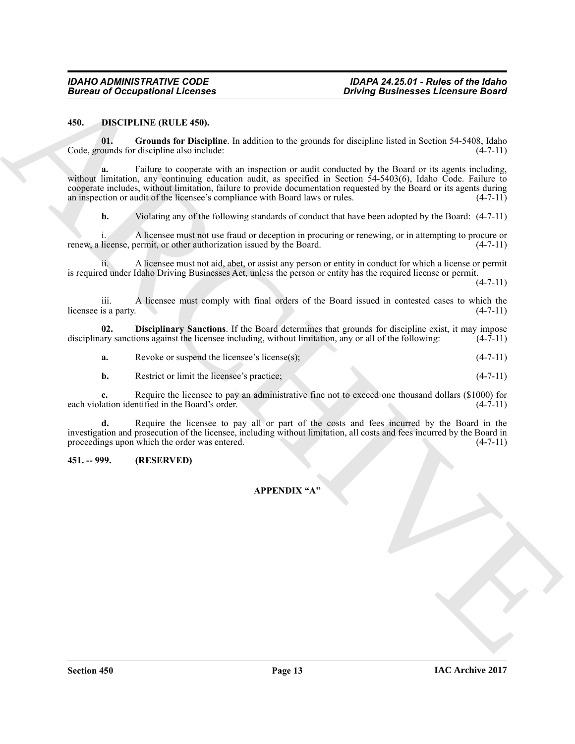#### <span id="page-12-2"></span><span id="page-12-0"></span>**450. DISCIPLINE (RULE 450).**

<span id="page-12-4"></span>**01. Grounds for Discipline**. In addition to the grounds for discipline listed in Section 54-5408, Idaho Code, grounds for discipline also include: (4-7-11)

Bureau of Occupational Licenses<br>
450. Distribute (450. define the included in the specified site of the specific site of the specific site of the specific site of the specific site of the specific site of the specific sit **a.** Failure to cooperate with an inspection or audit conducted by the Board or its agents including, without limitation, any continuing education audit, as specified in Section 54-5403(6), Idaho Code. Failure to cooperate includes, without limitation, failure to provide documentation requested by the Board or its agents during an inspection or audit of the licensee's compliance with Board laws or rules. (4-7-11)

**b.** Violating any of the following standards of conduct that have been adopted by the Board:  $(4-7-11)$ 

i. A licensee must not use fraud or deception in procuring or renewing, or in attempting to procure or renew, a license, permit, or other authorization issued by the Board. (4-7-11)

ii. A licensee must not aid, abet, or assist any person or entity in conduct for which a license or permit is required under Idaho Driving Businesses Act, unless the person or entity has the required license or permit.

 $(4 - 7 - 11)$ 

iii. A licensee must comply with final orders of the Board issued in contested cases to which the is a party.  $(4-7-11)$ licensee is a party.

**02. Disciplinary Sanctions**. If the Board determines that grounds for discipline exist, it may impose disciplinary sanctions against the licensee including, without limitation, any or all of the following:  $(4-7-11)$ 

<span id="page-12-3"></span>**a.** Revoke or suspend the licensee's license(s); (4-7-11)

**b.** Restrict or limit the licensee's practice; (4-7-11)

**c.** Require the licensee to pay an administrative fine not to exceed one thousand dollars (\$1000) for lation identified in the Board's order. (4-7-11) each violation identified in the Board's order.

**d.** Require the licensee to pay all or part of the costs and fees incurred by the Board in the investigation and prosecution of the licensee, including without limitation, all costs and fees incurred by the Board in proceedings upon which the order was entered.  $(4-7-11)$ proceedings upon which the order was entered.

### <span id="page-12-1"></span>**451. -- 999. (RESERVED)**

#### **APPENDIX "A"**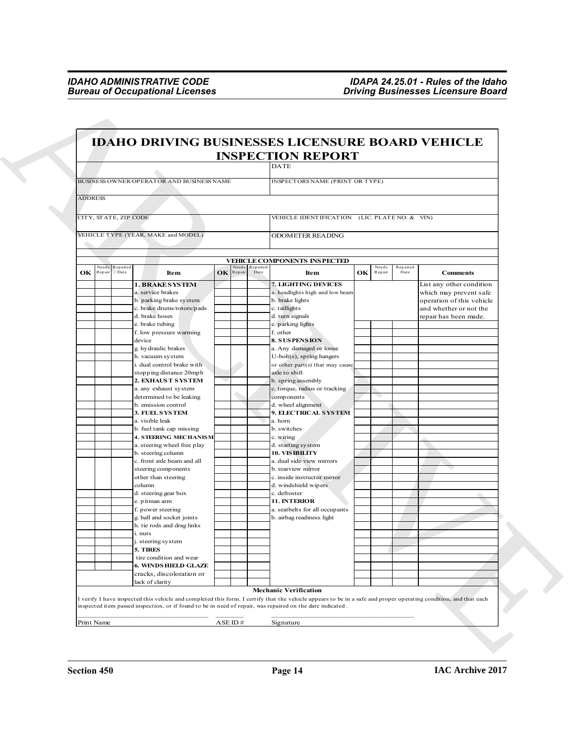|                                          | <b>IDAHO DRIVING BUSINESSES LICENSURE BOARD VEHICLE</b>                                                                                                          |                              |                  |                                                 |    |                 |                  |                                                 |
|------------------------------------------|------------------------------------------------------------------------------------------------------------------------------------------------------------------|------------------------------|------------------|-------------------------------------------------|----|-----------------|------------------|-------------------------------------------------|
|                                          |                                                                                                                                                                  |                              |                  | <b>INSPECTION REPORT</b><br><b>DATE</b>         |    |                 |                  |                                                 |
|                                          |                                                                                                                                                                  |                              |                  |                                                 |    |                 |                  |                                                 |
|                                          | BUSINESS OWNER/OPERATOR AND BUSINESS NAME                                                                                                                        |                              |                  | INSPECTORS NAME (PRINT OR TYPE)                 |    |                 |                  |                                                 |
| <b>ADDRESS</b>                           |                                                                                                                                                                  |                              |                  |                                                 |    |                 |                  |                                                 |
|                                          |                                                                                                                                                                  |                              |                  |                                                 |    |                 |                  |                                                 |
| CITY, STATE, ZIP CODE                    |                                                                                                                                                                  |                              |                  | VEHICLE IDENTIFICATION (LIC. PLATE NO. & VIN)   |    |                 |                  |                                                 |
|                                          | VEHICLE TYPE (YEAR, MAKE and MODEL)                                                                                                                              |                              |                  | <b>ODOMETER READING</b>                         |    |                 |                  |                                                 |
|                                          |                                                                                                                                                                  |                              |                  |                                                 |    |                 |                  |                                                 |
|                                          |                                                                                                                                                                  |                              |                  | <b>VEHICLE COMPONENTS INSPECTED</b>             |    |                 |                  |                                                 |
| Need:<br>Repaired<br>OK<br>Date<br>Repai | Item                                                                                                                                                             | leeds<br><b>OK</b><br>Repair | Repaired<br>Date | Item                                            | OK | Needs<br>Repair | Repaired<br>Date | <b>Comments</b>                                 |
|                                          | <b>1. BRAKE SYSTEM</b>                                                                                                                                           |                              |                  | 7. LIGHTING DEVICES                             |    |                 |                  | List any other condition                        |
|                                          | a. service brakes                                                                                                                                                |                              |                  | a. headlights high and low beam                 |    |                 |                  | which may prevent safe                          |
|                                          | b. parking brake system<br>c. brake drums/rotors/pads                                                                                                            |                              |                  | b. brake lights                                 |    |                 |                  | operation of this vehicle                       |
|                                          | d. brake hoses                                                                                                                                                   |                              |                  | c. taillights<br>d. turn signals                |    |                 |                  | and whether or not the<br>repair has been made. |
|                                          | e. brake tubing                                                                                                                                                  |                              |                  | e. parking lights                               |    |                 |                  |                                                 |
|                                          | f. low pressure warming                                                                                                                                          |                              |                  | f. other                                        |    |                 |                  |                                                 |
|                                          | device<br>g. hydraulic brakes                                                                                                                                    |                              |                  | <b>8. SUSPENSION</b><br>a. Any damaged or loose |    |                 |                  |                                                 |
|                                          | h. vacuum system                                                                                                                                                 |                              |                  | $U$ -bolt $(s)$ , spring hangers                |    |                 |                  |                                                 |
|                                          | i. dual control brake with                                                                                                                                       |                              |                  | or other part(s) that may cause                 |    |                 |                  |                                                 |
|                                          | stopping distance 20mph<br>2. EXHAUS T S YS TEM                                                                                                                  |                              |                  | axle to shift<br>b. spring assembly             |    |                 |                  |                                                 |
|                                          | a. any exhaust system                                                                                                                                            |                              |                  | c. torque, radius or tracking                   |    |                 |                  |                                                 |
|                                          | determined to be leaking                                                                                                                                         |                              |                  | components                                      |    |                 |                  |                                                 |
|                                          | b. emission control<br>3. FUEL SYSTEM                                                                                                                            |                              |                  | d. wheel alignment<br>9. ELECTRICAL SYSTEM      |    |                 |                  |                                                 |
|                                          | a. visible leak                                                                                                                                                  |                              |                  | a. horn                                         |    |                 |                  |                                                 |
|                                          | b. fuel tank cap missing                                                                                                                                         |                              |                  | b. switches                                     |    |                 |                  |                                                 |
|                                          | <b>4. STEERING MECHANISM</b><br>a. steering wheel free play                                                                                                      |                              |                  | c. wiring<br>d. starting system                 |    |                 |                  |                                                 |
|                                          | b. steering column                                                                                                                                               |                              |                  | 10. VIS IBILITY                                 |    |                 |                  |                                                 |
|                                          | c. front axle beam and all<br>steering components                                                                                                                |                              |                  | a. dual side view mirrors<br>b. rearview mirror |    |                 |                  |                                                 |
|                                          | other than steering                                                                                                                                              |                              |                  | c. inside instructor mirror                     |    |                 |                  |                                                 |
|                                          | column                                                                                                                                                           |                              |                  | d. windshield wipers                            |    |                 |                  |                                                 |
|                                          | d. steering gear box<br>e. pitman arm                                                                                                                            |                              |                  | c. defroster<br>11. INTERIOR                    |    |                 |                  |                                                 |
|                                          | f. power steering                                                                                                                                                |                              |                  | a. seatbelts for all occupants                  |    |                 |                  |                                                 |
|                                          | g, ball and socket joints                                                                                                                                        |                              |                  | b. airbag readiness light                       |    |                 |                  |                                                 |
|                                          | h. tie rods and drag links<br>i. nuts                                                                                                                            |                              |                  |                                                 |    |                 |                  |                                                 |
|                                          | j. steering system                                                                                                                                               |                              |                  |                                                 |    |                 |                  |                                                 |
|                                          | 5. TIRES                                                                                                                                                         |                              |                  |                                                 |    |                 |                  |                                                 |
|                                          | tire condition and wear<br><b>6. WINDS HIELD GLAZE</b>                                                                                                           |                              |                  |                                                 |    |                 |                  |                                                 |
|                                          | cracks, discoloration or                                                                                                                                         |                              |                  |                                                 |    |                 |                  |                                                 |
|                                          | lack of clarity                                                                                                                                                  |                              |                  |                                                 |    |                 |                  |                                                 |
|                                          | I verify I have inspected this vehicle and completed this form. I certify that the vehicle appears to be in a safe and proper operating condition, and that each |                              |                  | <b>Mechanic Verification</b>                    |    |                 |                  |                                                 |
|                                          | inspected item passed inspection, or if found to be in need of repair, was repaired on the date indicated.                                                       |                              |                  |                                                 |    |                 |                  |                                                 |
| Print Name                               |                                                                                                                                                                  | ASEID#                       |                  | Signature                                       |    |                 |                  |                                                 |